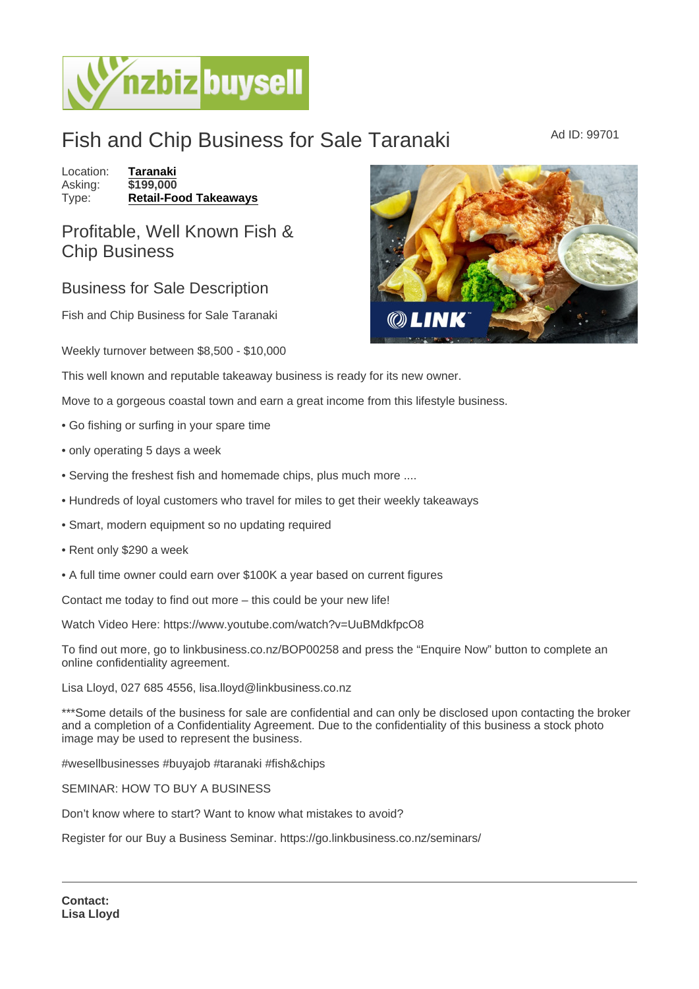## Fish and Chip Business for Sale Taranaki Ad ID: 99701

Location: [Taranaki](https://www.nzbizbuysell.co.nz/businesses-for-sale/location/Taranaki) Asking: \$199,000 Type: [Retail-Food Takeaways](https://www.nzbizbuysell.co.nz/businesses-for-sale/Retail-Food-Takeaways/New-Zealand)

Profitable, Well Known Fish & Chip Business

## Business for Sale Description

Fish and Chip Business for Sale Taranaki

Weekly turnover between \$8,500 - \$10,000

This well known and reputable takeaway business is ready for its new owner.

Move to a gorgeous coastal town and earn a great income from this lifestyle business.

- Go fishing or surfing in your spare time
- only operating 5 days a week
- Serving the freshest fish and homemade chips, plus much more ....
- Hundreds of loyal customers who travel for miles to get their weekly takeaways
- Smart, modern equipment so no updating required
- Rent only \$290 a week
- A full time owner could earn over \$100K a year based on current figures

Contact me today to find out more – this could be your new life!

Watch Video Here: https://www.youtube.com/watch?v=UuBMdkfpcO8

To find out more, go to linkbusiness.co.nz/BOP00258 and press the "Enquire Now" button to complete an online confidentiality agreement.

Lisa Lloyd, 027 685 4556, lisa.lloyd@linkbusiness.co.nz

\*\*\*Some details of the business for sale are confidential and can only be disclosed upon contacting the broker and a completion of a Confidentiality Agreement. Due to the confidentiality of this business a stock photo image may be used to represent the business.

#wesellbusinesses #buyajob #taranaki #fish&chips

SEMINAR: HOW TO BUY A BUSINESS

Don't know where to start? Want to know what mistakes to avoid?

Register for our Buy a Business Seminar. https://go.linkbusiness.co.nz/seminars/